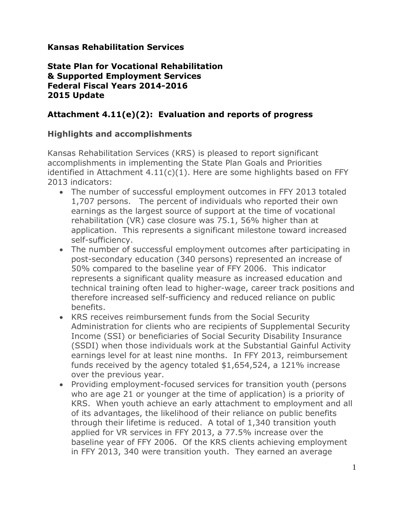## **Kansas Rehabilitation Services**

#### **State Plan for Vocational Rehabilitation & Supported Employment Services Federal Fiscal Years 2014-2016 2015 Update**

## **Attachment 4.11(e)(2): Evaluation and reports of progress**

### **Highlights and accomplishments**

Kansas Rehabilitation Services (KRS) is pleased to report significant accomplishments in implementing the State Plan Goals and Priorities identified in Attachment 4.11(c)(1). Here are some highlights based on FFY 2013 indicators:

- The number of successful employment outcomes in FFY 2013 totaled 1,707 persons. The percent of individuals who reported their own earnings as the largest source of support at the time of vocational rehabilitation (VR) case closure was 75.1, 56% higher than at application. This represents a significant milestone toward increased self-sufficiency.
- The number of successful employment outcomes after participating in post-secondary education (340 persons) represented an increase of 50% compared to the baseline year of FFY 2006. This indicator represents a significant quality measure as increased education and technical training often lead to higher-wage, career track positions and therefore increased self-sufficiency and reduced reliance on public benefits.
- KRS receives reimbursement funds from the Social Security Administration for clients who are recipients of Supplemental Security Income (SSI) or beneficiaries of Social Security Disability Insurance (SSDI) when those individuals work at the Substantial Gainful Activity earnings level for at least nine months. In FFY 2013, reimbursement funds received by the agency totaled \$1,654,524, a 121% increase over the previous year.
- Providing employment-focused services for transition youth (persons who are age 21 or younger at the time of application) is a priority of KRS. When youth achieve an early attachment to employment and all of its advantages, the likelihood of their reliance on public benefits through their lifetime is reduced. A total of 1,340 transition youth applied for VR services in FFY 2013, a 77.5% increase over the baseline year of FFY 2006. Of the KRS clients achieving employment in FFY 2013, 340 were transition youth. They earned an average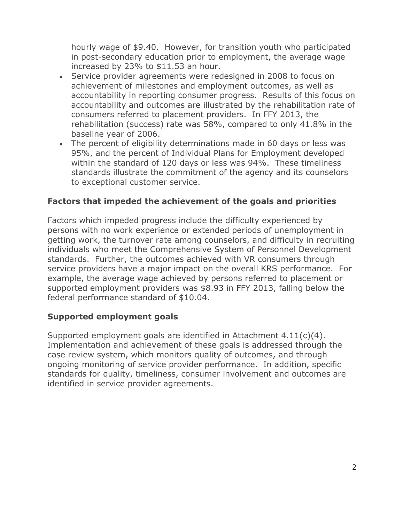hourly wage of \$9.40. However, for transition youth who participated in post-secondary education prior to employment, the average wage increased by 23% to \$11.53 an hour.

- Service provider agreements were redesigned in 2008 to focus on achievement of milestones and employment outcomes, as well as accountability in reporting consumer progress. Results of this focus on accountability and outcomes are illustrated by the rehabilitation rate of consumers referred to placement providers. In FFY 2013, the rehabilitation (success) rate was 58%, compared to only 41.8% in the baseline year of 2006.
- The percent of eligibility determinations made in 60 days or less was 95%, and the percent of Individual Plans for Employment developed within the standard of 120 days or less was 94%. These timeliness standards illustrate the commitment of the agency and its counselors to exceptional customer service.

## **Factors that impeded the achievement of the goals and priorities**

Factors which impeded progress include the difficulty experienced by persons with no work experience or extended periods of unemployment in getting work, the turnover rate among counselors, and difficulty in recruiting individuals who meet the Comprehensive System of Personnel Development standards. Further, the outcomes achieved with VR consumers through service providers have a major impact on the overall KRS performance. For example, the average wage achieved by persons referred to placement or supported employment providers was \$8.93 in FFY 2013, falling below the federal performance standard of \$10.04.

#### **Supported employment goals**

Supported employment goals are identified in Attachment 4.11(c)(4). Implementation and achievement of these goals is addressed through the case review system, which monitors quality of outcomes, and through ongoing monitoring of service provider performance. In addition, specific standards for quality, timeliness, consumer involvement and outcomes are identified in service provider agreements.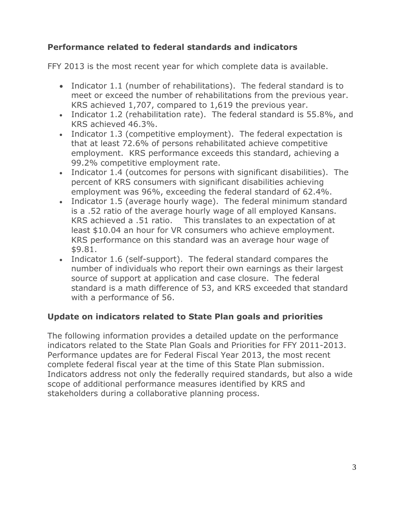## **Performance related to federal standards and indicators**

FFY 2013 is the most recent year for which complete data is available.

- Indicator 1.1 (number of rehabilitations). The federal standard is to meet or exceed the number of rehabilitations from the previous year. KRS achieved 1,707, compared to 1,619 the previous year.
- Indicator 1.2 (rehabilitation rate). The federal standard is 55.8%, and KRS achieved 46.3%.
- Indicator 1.3 (competitive employment). The federal expectation is that at least 72.6% of persons rehabilitated achieve competitive employment. KRS performance exceeds this standard, achieving a 99.2% competitive employment rate.
- Indicator 1.4 (outcomes for persons with significant disabilities). The percent of KRS consumers with significant disabilities achieving employment was 96%, exceeding the federal standard of 62.4%.
- Indicator 1.5 (average hourly wage). The federal minimum standard is a .52 ratio of the average hourly wage of all employed Kansans. KRS achieved a .51 ratio. This translates to an expectation of at least \$10.04 an hour for VR consumers who achieve employment. KRS performance on this standard was an average hour wage of \$9.81.
- Indicator 1.6 (self-support). The federal standard compares the number of individuals who report their own earnings as their largest source of support at application and case closure. The federal standard is a math difference of 53, and KRS exceeded that standard with a performance of 56.

## **Update on indicators related to State Plan goals and priorities**

The following information provides a detailed update on the performance indicators related to the State Plan Goals and Priorities for FFY 2011-2013. Performance updates are for Federal Fiscal Year 2013, the most recent complete federal fiscal year at the time of this State Plan submission. Indicators address not only the federally required standards, but also a wide scope of additional performance measures identified by KRS and stakeholders during a collaborative planning process.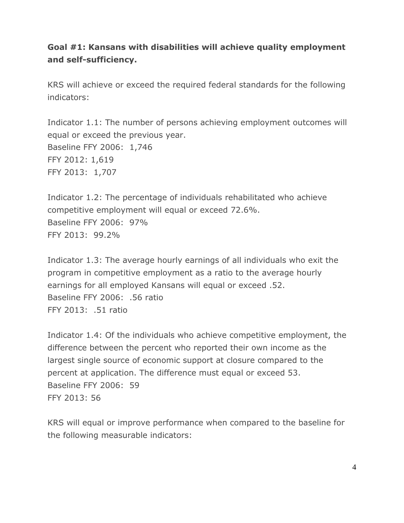## **Goal #1: Kansans with disabilities will achieve quality employment and self-sufficiency.**

KRS will achieve or exceed the required federal standards for the following indicators:

Indicator 1.1: The number of persons achieving employment outcomes will equal or exceed the previous year. Baseline FFY 2006: 1,746 FFY 2012: 1,619 FFY 2013: 1,707

Indicator 1.2: The percentage of individuals rehabilitated who achieve competitive employment will equal or exceed 72.6%. Baseline FFY 2006: 97% FFY 2013: 99.2%

Indicator 1.3: The average hourly earnings of all individuals who exit the program in competitive employment as a ratio to the average hourly earnings for all employed Kansans will equal or exceed .52. Baseline FFY 2006: .56 ratio FFY 2013: .51 ratio

Indicator 1.4: Of the individuals who achieve competitive employment, the difference between the percent who reported their own income as the largest single source of economic support at closure compared to the percent at application. The difference must equal or exceed 53. Baseline FFY 2006: 59 FFY 2013: 56

KRS will equal or improve performance when compared to the baseline for the following measurable indicators: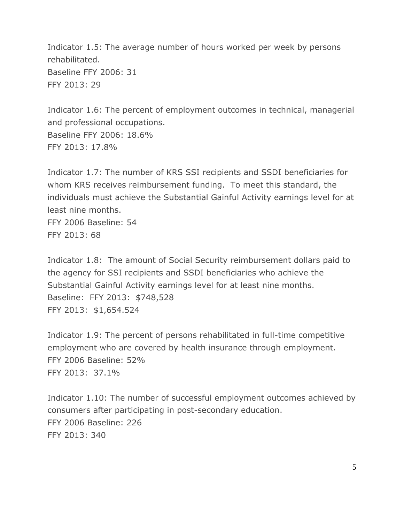Indicator 1.5: The average number of hours worked per week by persons rehabilitated. Baseline FFY 2006: 31 FFY 2013: 29

Indicator 1.6: The percent of employment outcomes in technical, managerial and professional occupations. Baseline FFY 2006: 18.6% FFY 2013: 17.8%

Indicator 1.7: The number of KRS SSI recipients and SSDI beneficiaries for whom KRS receives reimbursement funding. To meet this standard, the individuals must achieve the Substantial Gainful Activity earnings level for at least nine months.

FFY 2006 Baseline: 54 FFY 2013: 68

Indicator 1.8: The amount of Social Security reimbursement dollars paid to the agency for SSI recipients and SSDI beneficiaries who achieve the Substantial Gainful Activity earnings level for at least nine months. Baseline: FFY 2013: \$748,528 FFY 2013: \$1,654.524

Indicator 1.9: The percent of persons rehabilitated in full-time competitive employment who are covered by health insurance through employment. FFY 2006 Baseline: 52% FFY 2013: 37.1%

Indicator 1.10: The number of successful employment outcomes achieved by consumers after participating in post-secondary education. FFY 2006 Baseline: 226 FFY 2013: 340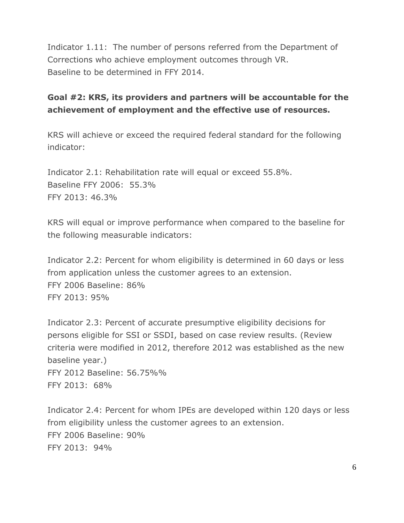Indicator 1.11: The number of persons referred from the Department of Corrections who achieve employment outcomes through VR. Baseline to be determined in FFY 2014.

## **Goal #2: KRS, its providers and partners will be accountable for the achievement of employment and the effective use of resources.**

KRS will achieve or exceed the required federal standard for the following indicator:

Indicator 2.1: Rehabilitation rate will equal or exceed 55.8%. Baseline FFY 2006: 55.3% FFY 2013: 46.3%

KRS will equal or improve performance when compared to the baseline for the following measurable indicators:

Indicator 2.2: Percent for whom eligibility is determined in 60 days or less from application unless the customer agrees to an extension. FFY 2006 Baseline: 86% FFY 2013: 95%

Indicator 2.3: Percent of accurate presumptive eligibility decisions for persons eligible for SSI or SSDI, based on case review results. (Review criteria were modified in 2012, therefore 2012 was established as the new baseline year.) FFY 2012 Baseline: 56.75%% FFY 2013: 68%

Indicator 2.4: Percent for whom IPEs are developed within 120 days or less from eligibility unless the customer agrees to an extension. FFY 2006 Baseline: 90% FFY 2013: 94%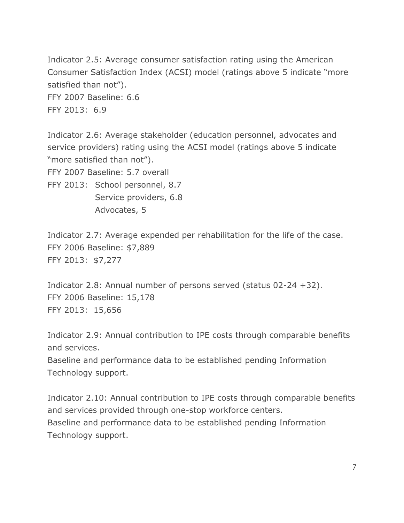Indicator 2.5: Average consumer satisfaction rating using the American Consumer Satisfaction Index (ACSI) model (ratings above 5 indicate "more satisfied than not"). FFY 2007 Baseline: 6.6 FFY 2013: 6.9

Indicator 2.6: Average stakeholder (education personnel, advocates and service providers) rating using the ACSI model (ratings above 5 indicate "more satisfied than not").

FFY 2007 Baseline: 5.7 overall

FFY 2013: School personnel, 8.7 Service providers, 6.8 Advocates, 5

Indicator 2.7: Average expended per rehabilitation for the life of the case. FFY 2006 Baseline: \$7,889 FFY 2013: \$7,277

Indicator 2.8: Annual number of persons served (status 02-24 +32). FFY 2006 Baseline: 15,178 FFY 2013: 15,656

Indicator 2.9: Annual contribution to IPE costs through comparable benefits and services. Baseline and performance data to be established pending Information Technology support.

Indicator 2.10: Annual contribution to IPE costs through comparable benefits and services provided through one-stop workforce centers. Baseline and performance data to be established pending Information Technology support.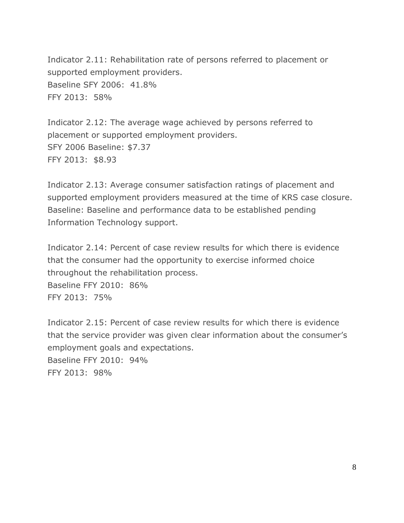Indicator 2.11: Rehabilitation rate of persons referred to placement or supported employment providers. Baseline SFY 2006: 41.8% FFY 2013: 58%

Indicator 2.12: The average wage achieved by persons referred to placement or supported employment providers. SFY 2006 Baseline: \$7.37 FFY 2013: \$8.93

Indicator 2.13: Average consumer satisfaction ratings of placement and supported employment providers measured at the time of KRS case closure. Baseline: Baseline and performance data to be established pending Information Technology support.

Indicator 2.14: Percent of case review results for which there is evidence that the consumer had the opportunity to exercise informed choice throughout the rehabilitation process.

Baseline FFY 2010: 86% FFY 2013: 75%

Indicator 2.15: Percent of case review results for which there is evidence that the service provider was given clear information about the consumer's employment goals and expectations. Baseline FFY 2010: 94% FFY 2013: 98%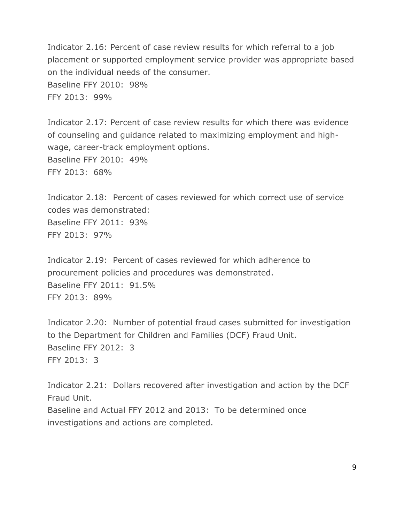Indicator 2.16: Percent of case review results for which referral to a job placement or supported employment service provider was appropriate based on the individual needs of the consumer. Baseline FFY 2010: 98% FFY 2013: 99%

Indicator 2.17: Percent of case review results for which there was evidence of counseling and guidance related to maximizing employment and highwage, career-track employment options. Baseline FFY 2010: 49% FFY 2013: 68%

Indicator 2.18: Percent of cases reviewed for which correct use of service codes was demonstrated: Baseline FFY 2011: 93% FFY 2013: 97%

Indicator 2.19: Percent of cases reviewed for which adherence to procurement policies and procedures was demonstrated. Baseline FFY 2011: 91.5% FFY 2013: 89%

Indicator 2.20: Number of potential fraud cases submitted for investigation to the Department for Children and Families (DCF) Fraud Unit. Baseline FFY 2012: 3 FFY 2013: 3

Indicator 2.21: Dollars recovered after investigation and action by the DCF Fraud Unit. Baseline and Actual FFY 2012 and 2013: To be determined once investigations and actions are completed.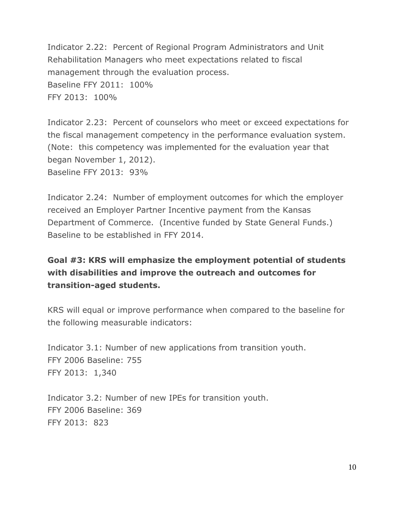Indicator 2.22: Percent of Regional Program Administrators and Unit Rehabilitation Managers who meet expectations related to fiscal management through the evaluation process. Baseline FFY 2011: 100% FFY 2013: 100%

Indicator 2.23: Percent of counselors who meet or exceed expectations for the fiscal management competency in the performance evaluation system. (Note: this competency was implemented for the evaluation year that began November 1, 2012). Baseline FFY 2013: 93%

Indicator 2.24: Number of employment outcomes for which the employer received an Employer Partner Incentive payment from the Kansas Department of Commerce. (Incentive funded by State General Funds.) Baseline to be established in FFY 2014.

## **Goal #3: KRS will emphasize the employment potential of students with disabilities and improve the outreach and outcomes for transition-aged students.**

KRS will equal or improve performance when compared to the baseline for the following measurable indicators:

Indicator 3.1: Number of new applications from transition youth. FFY 2006 Baseline: 755 FFY 2013: 1,340

Indicator 3.2: Number of new IPEs for transition youth. FFY 2006 Baseline: 369 FFY 2013: 823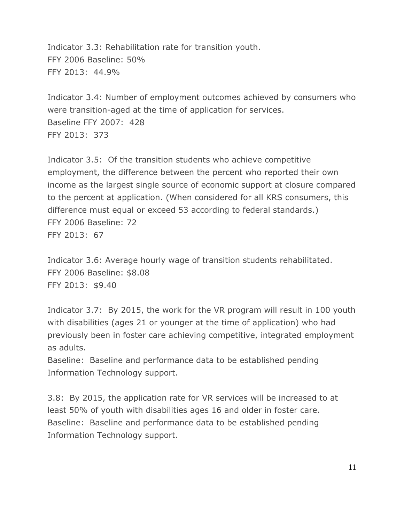Indicator 3.3: Rehabilitation rate for transition youth. FFY 2006 Baseline: 50% FFY 2013: 44.9%

Indicator 3.4: Number of employment outcomes achieved by consumers who were transition-aged at the time of application for services. Baseline FFY 2007: 428 FFY 2013: 373

Indicator 3.5: Of the transition students who achieve competitive employment, the difference between the percent who reported their own income as the largest single source of economic support at closure compared to the percent at application. (When considered for all KRS consumers, this difference must equal or exceed 53 according to federal standards.) FFY 2006 Baseline: 72 FFY 2013: 67

Indicator 3.6: Average hourly wage of transition students rehabilitated. FFY 2006 Baseline: \$8.08 FFY 2013: \$9.40

Indicator 3.7: By 2015, the work for the VR program will result in 100 youth with disabilities (ages 21 or younger at the time of application) who had previously been in foster care achieving competitive, integrated employment as adults.

Baseline: Baseline and performance data to be established pending Information Technology support.

3.8: By 2015, the application rate for VR services will be increased to at least 50% of youth with disabilities ages 16 and older in foster care. Baseline: Baseline and performance data to be established pending Information Technology support.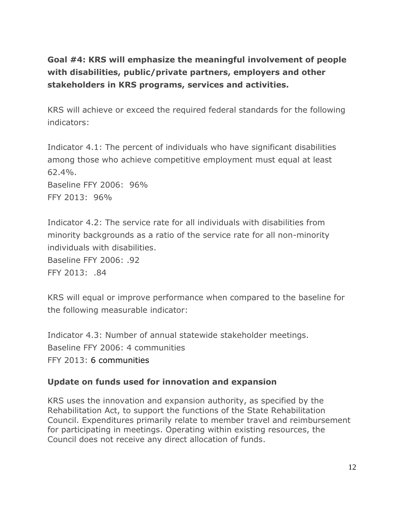# **Goal #4: KRS will emphasize the meaningful involvement of people with disabilities, public/private partners, employers and other stakeholders in KRS programs, services and activities.**

KRS will achieve or exceed the required federal standards for the following indicators:

Indicator 4.1: The percent of individuals who have significant disabilities among those who achieve competitive employment must equal at least 62.4%. Baseline FFY 2006: 96% FFY 2013: 96%

Indicator 4.2: The service rate for all individuals with disabilities from minority backgrounds as a ratio of the service rate for all non-minority individuals with disabilities. Baseline FFY 2006: .92

FFY 2013: .84

KRS will equal or improve performance when compared to the baseline for the following measurable indicator:

Indicator 4.3: Number of annual statewide stakeholder meetings. Baseline FFY 2006: 4 communities FFY 2013: 6 communities

## **Update on funds used for innovation and expansion**

KRS uses the innovation and expansion authority, as specified by the Rehabilitation Act, to support the functions of the State Rehabilitation Council. Expenditures primarily relate to member travel and reimbursement for participating in meetings. Operating within existing resources, the Council does not receive any direct allocation of funds.